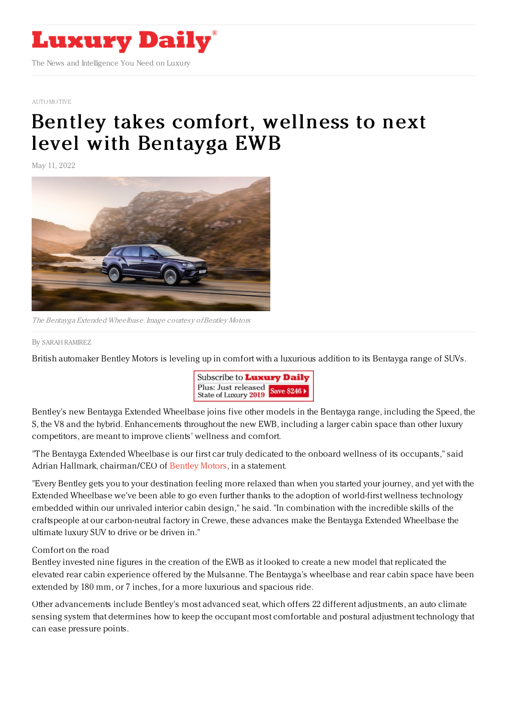

[AUTOMOTIVE](https://www.luxurydaily.com/category/sectors/automotive-industry-sectors/)

# Bentley takes comfort, wellness to next level with [Bentayga](https://www.luxurydaily.com/bentley-bentayga-extended-wheelbase/) EWB

May 11, 2022



The Bentayga Extended Wheelbase. Image courtesy of Bentley Motors

#### By SARAH [RAMIREZ](file:///author/sarah-ramirez)

British automaker Bentley Motors is leveling up in comfort with a luxurious addition to its Bentayga range of SUVs.



Bentley's new Bentayga Extended Wheelbase joins five other models in the Bentayga range, including the Speed, the S, the V8 and the hybrid. Enhancements throughout the new EWB, including a larger cabin space than other luxury competitors, are meant to improve clients' wellness and comfort.

"The Bentayga Extended Wheelbase is our first car truly dedicated to the onboard wellness of its occupants," said Adrian Hallmark, chairman/CEO of [Bentley](https://www.bentleymotors.com/en.html) Motors, in a statement.

"Every Bentley gets you to your destination feeling more relaxed than when you started your journey, and yet with the Extended Wheelbase we've been able to go even further thanks to the adoption of world-first wellness technology embedded within our unrivaled interior cabin design," he said. "In combination with the incredible skills of the craftspeople at our carbon-neutral factory in Crewe, these advances make the Bentayga Extended Wheelbase the ultimate luxury SUV to drive or be driven in."

### Comfort on the road

Bentley invested nine figures in the creation of the EWB as it looked to create a new model that replicated the elevated rear cabin experience offered by the Mulsanne. The Bentayga's wheelbase and rear cabin space have been extended by 180 mm, or 7 inches, for a more luxurious and spacious ride.

Other advancements include Bentley's most advanced seat, which offers 22 different adjustments, an auto climate sensing system that determines how to keep the occupant most comfortable and postural adjustment technology that can ease pressure points.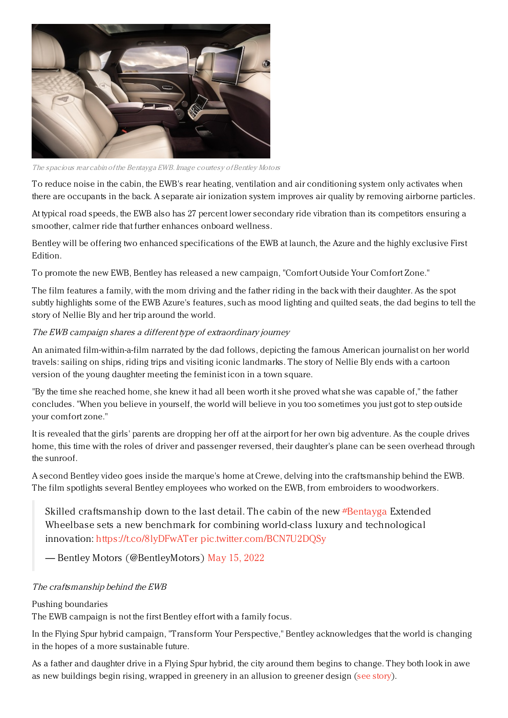

The spacious rear cabin of the Bentayga EWB. Image courtesy of Bentley Motors

To reduce noise in the cabin, the EWB's rear heating, ventilation and air conditioning system only activates when there are occupants in the back. A separate air ionization system improves air quality by removing airborne particles.

At typical road speeds, the EWB also has 27 percent lower secondary ride vibration than its competitors ensuring a smoother, calmer ride that further enhances onboard wellness.

Bentley will be offering two enhanced specifications of the EWB at launch, the Azure and the highly exclusive First Edition.

To promote the new EWB, Bentley has released a new campaign, "Comfort Outside Your Comfort Zone."

The film features a family, with the mom driving and the father riding in the back with their daughter. As the spot subtly highlights some of the EWB Azure's features, such as mood lighting and quilted seats, the dad begins to tell the story of Nellie Bly and her trip around the world.

## The EWB campaign shares <sup>a</sup> different type of extraordinary journey

An animated film-within-a-film narrated by the dad follows, depicting the famous American journalist on her world travels: sailing on ships, riding trips and visiting iconic landmarks. The story of Nellie Bly ends with a cartoon version of the young daughter meeting the feminist icon in a town square.

"By the time she reached home, she knew it had all been worth it she proved what she was capable of," the father concludes. "When you believe in yourself, the world will believe in you too sometimes you just got to step outside your comfort zone."

It is revealed that the girls' parents are dropping her off at the airport for her own big adventure. As the couple drives home, this time with the roles of driver and passenger reversed, their daughter's plane can be seen overhead through the sunroof.

A second Bentley video goes inside the marque's home at Crewe, delving into the craftsmanship behind the EWB. The film spotlights several Bentley employees who worked on the EWB, from embroiders to woodworkers.

Skilled craftsmanship down to the last detail. The cabin of the new  $#$ Bentayga Extended Wheelbase sets a new benchmark for combining world-class luxury and technological innovation: <https://t.co/8lyDFwATer> [pic.twitter.com/BCN7U2DQSy](https://t.co/BCN7U2DQSy)

— Bentley Motors (@BentleyMotors) May 15, [2022](https://twitter.com/BentleyMotors/status/1525841482959273985?ref_src=twsrc%255Etfw%3C/p%3E%3Cp%3E%3C)

# The craftsmanship behind the EWB

### Pushing boundaries

The EWB campaign is not the first Bentley effort with a family focus.

In the Flying Spur hybrid campaign, "Transform Your Perspective," Bentley acknowledges that the world is changing in the hopes of a more sustainable future.

As a father and daughter drive in a Flying Spur hybrid, the city around them begins to change. They both look in awe as new buildings begin rising, wrapped in greenery in an allusion to greener design (see [story](https://www.luxurydaily.com/bentley-flying-spur-hybrid/)).